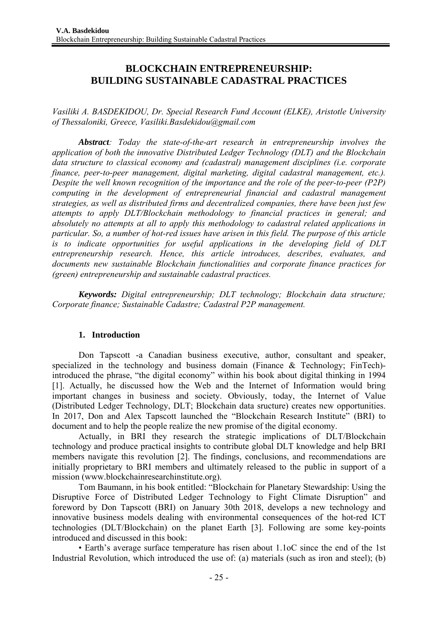# **BLOCKCHAIN ENTREPRENEURSHIP: BUILDING SUSTAINABLE CADASTRAL PRACTICES**

*Vasiliki A. BASDEKIDOU, Dr. Special Research Fund Account (ELKE), Aristotle University of Thessaloniki, Greece, Vasiliki.Basdekidou@gmail.com* 

*Abstract: Today the state-of-the-art research in entrepreneurship involves the application of both the innovative Distributed Ledger Technology (DLT) and the Blockchain data structure to classical economy and (cadastral) management disciplines (i.e. corporate finance, peer-to-peer management, digital marketing, digital cadastral management, etc.). Despite the well known recognition of the importance and the role of the peer-to-peer (P2P) computing in the development of entrepreneurial financial and cadastral management strategies, as well as distributed firms and decentralized companies, there have been just few attempts to apply DLT/Blockchain methodology to financial practices in general; and absolutely no attempts at all to apply this methodology to cadastral related applications in particular. So, a number of hot-red issues have arisen in this field. The purpose of this article is to indicate opportunities for useful applications in the developing field of DLT entrepreneurship research. Hence, this article introduces, describes, evaluates, and documents new sustainable Blockchain functionalities and corporate finance practices for (green) entrepreneurship and sustainable cadastral practices.*

*Keywords: Digital entrepreneurship; DLT technology; Blockchain data structure; Corporate finance; Sustainable Cadastre; Cadastral P2P management.*

#### **1. Introduction**

Don Tapscott -a Canadian business executive, author, consultant and speaker, specialized in the technology and business domain (Finance & Technology; FinTech) introduced the phrase, "the digital economy" within his book about digital thinking in 1994 [1]. Actually, he discussed how the Web and the Internet of Information would bring important changes in business and society. Obviously, today, the Internet of Value (Distributed Ledger Technology, DLT; Blockchain data sructure) creates new opportunities. In 2017, Don and Alex Tapscott launched the "Blockchain Research Institute" (BRI) to document and to help the people realize the new promise of the digital economy.

Actually, in BRI they research the strategic implications of DLT/Blockchain technology and produce practical insights to contribute global DLT knowledge and help BRI members navigate this revolution [2]. The findings, conclusions, and recommendations are initially proprietary to BRI members and ultimately released to the public in support of a mission (www.blockchainresearchinstitute.org).

Tom Baumann, in his book entitled: "Blockchain for Planetary Stewardship: Using the Disruptive Force of Distributed Ledger Technology to Fight Climate Disruption" and foreword by Don Tapscott (BRI) on January 30th 2018, develops a new technology and innovative business models dealing with environmental consequences of the hot-red ICT technologies (DLT/Blockchain) on the planet Earth [3]. Following are some key-points introduced and discussed in this book:

• Earth's average surface temperature has risen about 1.1oC since the end of the 1st Industrial Revolution, which introduced the use of: (a) materials (such as iron and steel); (b)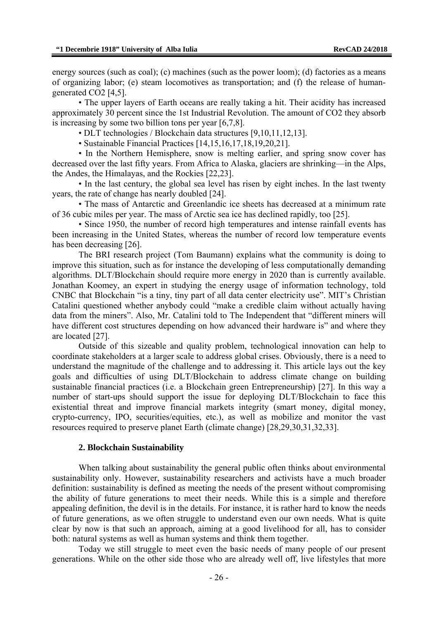energy sources (such as coal); (c) machines (such as the power loom); (d) factories as a means of organizing labor; (e) steam locomotives as transportation; and (f) the release of humangenerated CO2 [4,5].

• The upper layers of Earth oceans are really taking a hit. Their acidity has increased approximately 30 percent since the 1st Industrial Revolution. The amount of CO2 they absorb is increasing by some two billion tons per year [6,7,8].

• DLT technologies / Blockchain data structures [9,10,11,12,13].

• Sustainable Financial Practices [14,15,16,17,18,19,20,21].

• In the Northern Hemisphere, snow is melting earlier, and spring snow cover has decreased over the last fifty years. From Africa to Alaska, glaciers are shrinking—in the Alps, the Andes, the Himalayas, and the Rockies [22,23].

• In the last century, the global sea level has risen by eight inches. In the last twenty years, the rate of change has nearly doubled [24].

• The mass of Antarctic and Greenlandic ice sheets has decreased at a minimum rate of 36 cubic miles per year. The mass of Arctic sea ice has declined rapidly, too [25].

• Since 1950, the number of record high temperatures and intense rainfall events has been increasing in the United States, whereas the number of record low temperature events has been decreasing [26].

The BRI research project (Tom Baumann) explains what the community is doing to improve this situation, such as for instance the developing of less computationally demanding algorithms. DLT/Blockchain should require more energy in 2020 than is currently available. Jonathan Koomey, an expert in studying the energy usage of information technology, told CNBC that Blockchain "is a tiny, tiny part of all data center electricity use". MIT's Christian Catalini questioned whether anybody could "make a credible claim without actually having data from the miners". Also, Mr. Catalini told to The Independent that "different miners will have different cost structures depending on how advanced their hardware is" and where they are located [27].

Outside of this sizeable and quality problem, technological innovation can help to coordinate stakeholders at a larger scale to address global crises. Obviously, there is a need to understand the magnitude of the challenge and to addressing it. This article lays out the key goals and difficulties of using DLT/Blockchain to address climate change on building sustainable financial practices (i.e. a Blockchain green Entrepreneurship) [27]. In this way a number of start-ups should support the issue for deploying DLT/Blockchain to face this existential threat and improve financial markets integrity (smart money, digital money, crypto-currency, IPO, securities/equities, etc.), as well as mobilize and monitor the vast resources required to preserve planet Earth (climate change) [28,29,30,31,32,33].

#### **2. Blockchain Sustainability**

When talking about sustainability the general public often thinks about environmental sustainability only. However, sustainability researchers and activists have a much broader definition: sustainability is defined as meeting the needs of the present without compromising the ability of future generations to meet their needs. While this is a simple and therefore appealing definition, the devil is in the details. For instance, it is rather hard to know the needs of future generations, as we often struggle to understand even our own needs. What is quite clear by now is that such an approach, aiming at a good livelihood for all, has to consider both: natural systems as well as human systems and think them together.

Today we still struggle to meet even the basic needs of many people of our present generations. While on the other side those who are already well off, live lifestyles that more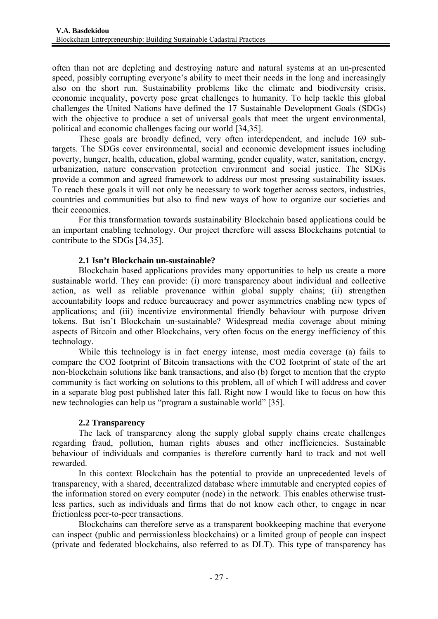often than not are depleting and destroying nature and natural systems at an un-presented speed, possibly corrupting everyone's ability to meet their needs in the long and increasingly also on the short run. Sustainability problems like the climate and biodiversity crisis, economic inequality, poverty pose great challenges to humanity. To help tackle this global challenges the United Nations have defined the 17 Sustainable Development Goals (SDGs) with the objective to produce a set of universal goals that meet the urgent environmental, political and economic challenges facing our world [34,35].

These goals are broadly defined, very often interdependent, and include 169 subtargets. The SDGs cover environmental, social and economic development issues including poverty, hunger, health, education, global warming, gender equality, water, sanitation, energy, urbanization, nature conservation protection environment and social justice. The SDGs provide a common and agreed framework to address our most pressing sustainability issues. To reach these goals it will not only be necessary to work together across sectors, industries, countries and communities but also to find new ways of how to organize our societies and their economies.

For this transformation towards sustainability Blockchain based applications could be an important enabling technology. Our project therefore will assess Blockchains potential to contribute to the SDGs [34,35].

## **2.1 Isn't Blockchain un-sustainable?**

Blockchain based applications provides many opportunities to help us create a more sustainable world. They can provide: (i) more transparency about individual and collective action, as well as reliable provenance within global supply chains; (ii) strengthen accountability loops and reduce bureaucracy and power asymmetries enabling new types of applications; and (iii) incentivize environmental friendly behaviour with purpose driven tokens. But isn't Blockchain un-sustainable? Widespread media coverage about mining aspects of Bitcoin and other Blockchains, very often focus on the energy inefficiency of this technology.

While this technology is in fact energy intense, most media coverage (a) fails to compare the CO2 footprint of Bitcoin transactions with the CO2 footprint of state of the art non-blockchain solutions like bank transactions, and also (b) forget to mention that the crypto community is fact working on solutions to this problem, all of which I will address and cover in a separate blog post published later this fall. Right now I would like to focus on how this new technologies can help us "program a sustainable world" [35].

## **2.2 Transparency**

The lack of transparency along the supply global supply chains create challenges regarding fraud, pollution, human rights abuses and other inefficiencies. Sustainable behaviour of individuals and companies is therefore currently hard to track and not well rewarded.

In this context Blockchain has the potential to provide an unprecedented levels of transparency, with a shared, decentralized database where immutable and encrypted copies of the information stored on every computer (node) in the network. This enables otherwise trustless parties, such as individuals and firms that do not know each other, to engage in near frictionless peer-to-peer transactions.

Blockchains can therefore serve as a transparent bookkeeping machine that everyone can inspect (public and permissionless blockchains) or a limited group of people can inspect (private and federated blockchains, also referred to as DLT). This type of transparency has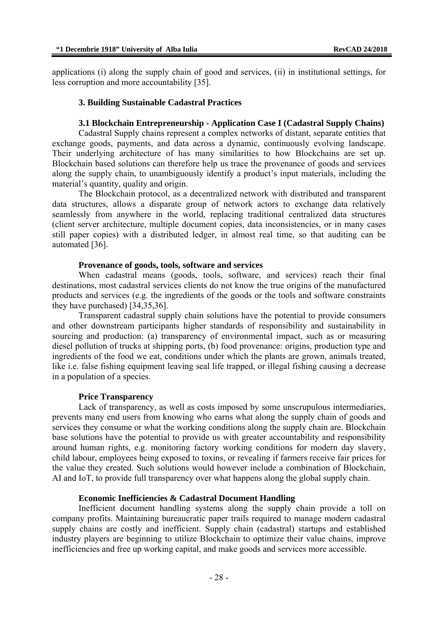applications (i) along the supply chain of good and services, (ii) in institutional settings, for less corruption and more accountability [35].

#### **3. Building Sustainable Cadastral Practices**

#### **3.1 Blockchain Entrepreneurship - Application Case I (Cadastral Supply Chains)**

Cadastral Supply chains represent a complex networks of distant, separate entities that exchange goods, payments, and data across a dynamic, continuously evolving landscape. Their underlying architecture of has many similarities to how Blockchains are set up. Blockchain based solutions can therefore help us trace the provenance of goods and services along the supply chain, to unambiguously identify a product's input materials, including the material's quantity, quality and origin.

The Blockchain protocol, as a decentralized network with distributed and transparent data structures, allows a disparate group of network actors to exchange data relatively seamlessly from anywhere in the world, replacing traditional centralized data structures (client server architecture, multiple document copies, data inconsistencies, or in many cases still paper copies) with a distributed ledger, in almost real time, so that auditing can be automated [36].

#### **Provenance of goods, tools, software and services**

When cadastral means (goods, tools, software, and services) reach their final destinations, most cadastral services clients do not know the true origins of the manufactured products and services (e.g. the ingredients of the goods or the tools and software constraints they have purchased) [34,35,36].

Transparent cadastral supply chain solutions have the potential to provide consumers and other downstream participants higher standards of responsibility and sustainability in sourcing and production: (a) transparency of environmental impact, such as or measuring diesel pollution of trucks at shipping ports, (b) food provenance: origins, production type and ingredients of the food we eat, conditions under which the plants are grown, animals treated, like i.e. false fishing equipment leaving seal life trapped, or illegal fishing causing a decrease in a population of a species.

#### **Price Transparency**

Lack of transparency, as well as costs imposed by some unscrupulous intermediaries, prevents many end users from knowing who earns what along the supply chain of goods and services they consume or what the working conditions along the supply chain are. Blockchain base solutions have the potential to provide us with greater accountability and responsibility around human rights, e.g. monitoring factory working conditions for modern day slavery, child labour, employees being exposed to toxins, or revealing if farmers receive fair prices for the value they created. Such solutions would however include a combination of Blockchain, AI and IoT, to provide full transparency over what happens along the global supply chain.

#### **Economic Inefficiencies & Cadastral Document Handling**

Inefficient document handling systems along the supply chain provide a toll on company profits. Maintaining bureaucratic paper trails required to manage modern cadastral supply chains are costly and inefficient. Supply chain (cadastral) startups and established industry players are beginning to utilize Blockchain to optimize their value chains, improve inefficiencies and free up working capital, and make goods and services more accessible.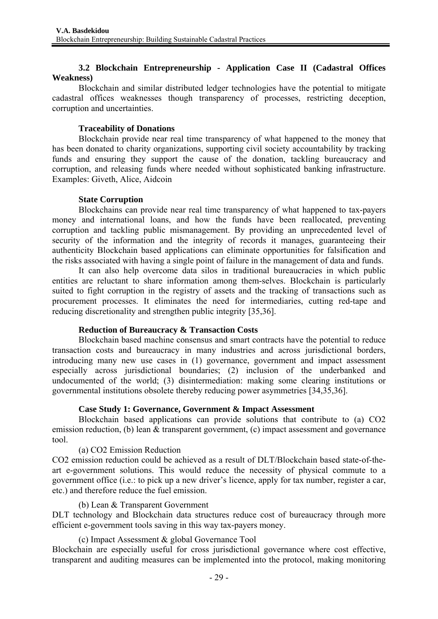## **3.2 Blockchain Entrepreneurship - Application Case II (Cadastral Offices Weakness)**

Blockchain and similar distributed ledger technologies have the potential to mitigate cadastral offices weaknesses though transparency of processes, restricting deception, corruption and uncertainties.

## **Traceability of Donations**

Blockchain provide near real time transparency of what happened to the money that has been donated to charity organizations, supporting civil society accountability by tracking funds and ensuring they support the cause of the donation, tackling bureaucracy and corruption, and releasing funds where needed without sophisticated banking infrastructure. Examples: Giveth, Alice, Aidcoin

## **State Corruption**

Blockchains can provide near real time transparency of what happened to tax-payers money and international loans, and how the funds have been reallocated, preventing corruption and tackling public mismanagement. By providing an unprecedented level of security of the information and the integrity of records it manages, guaranteeing their authenticity Blockchain based applications can eliminate opportunities for falsification and the risks associated with having a single point of failure in the management of data and funds.

It can also help overcome data silos in traditional bureaucracies in which public entities are reluctant to share information among them-selves. Blockchain is particularly suited to fight corruption in the registry of assets and the tracking of transactions such as procurement processes. It eliminates the need for intermediaries, cutting red-tape and reducing discretionality and strengthen public integrity [35,36].

## **Reduction of Bureaucracy & Transaction Costs**

Blockchain based machine consensus and smart contracts have the potential to reduce transaction costs and bureaucracy in many industries and across jurisdictional borders, introducing many new use cases in (1) governance, government and impact assessment especially across jurisdictional boundaries; (2) inclusion of the underbanked and undocumented of the world; (3) disintermediation: making some clearing institutions or governmental institutions obsolete thereby reducing power asymmetries [34,35,36].

## **Case Study 1: Governance, Government & Impact Assessment**

Blockchain based applications can provide solutions that contribute to (a) CO2 emission reduction, (b) lean & transparent government, (c) impact assessment and governance tool.

## (a) CO2 Emission Reduction

CO2 emission reduction could be achieved as a result of DLT/Blockchain based state-of-theart e-government solutions. This would reduce the necessity of physical commute to a government office (i.e.: to pick up a new driver's licence, apply for tax number, register a car, etc.) and therefore reduce the fuel emission.

## (b) Lean & Transparent Government

DLT technology and Blockchain data structures reduce cost of bureaucracy through more efficient e-government tools saving in this way tax-payers money.

(c) Impact Assessment & global Governance Tool

Blockchain are especially useful for cross jurisdictional governance where cost effective, transparent and auditing measures can be implemented into the protocol, making monitoring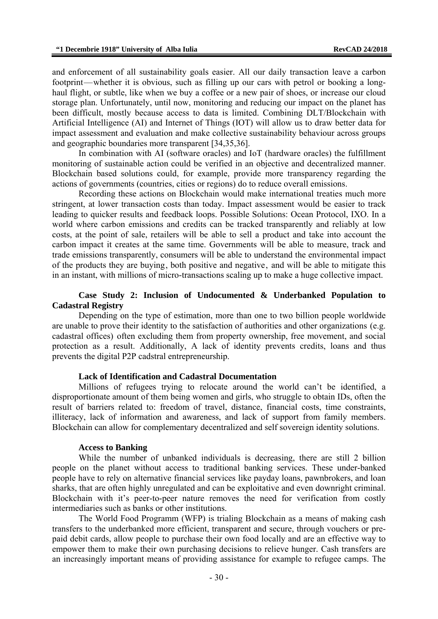and enforcement of all sustainability goals easier. All our daily transaction leave a carbon footprint—whether it is obvious, such as filling up our cars with petrol or booking a longhaul flight, or subtle, like when we buy a coffee or a new pair of shoes, or increase our cloud storage plan. Unfortunately, until now, monitoring and reducing our impact on the planet has been difficult, mostly because access to data is limited. Combining DLT/Blockchain with Artificial Intelligence (AI) and Internet of Things (IOT) will allow us to draw better data for impact assessment and evaluation and make collective sustainability behaviour across groups and geographic boundaries more transparent [34,35,36].

In combination with AI (software oracles) and IoT (hardware oracles) the fulfillment monitoring of sustainable action could be verified in an objective and decentralized manner. Blockchain based solutions could, for example, provide more transparency regarding the actions of governments (countries, cities or regions) do to reduce overall emissions.

Recording these actions on Blockchain would make international treaties much more stringent, at lower transaction costs than today. Impact assessment would be easier to track leading to quicker results and feedback loops. Possible Solutions: Ocean Protocol, IXO. In a world where carbon emissions and credits can be tracked transparently and reliably at low costs, at the point of sale, retailers will be able to sell a product and take into account the carbon impact it creates at the same time. Governments will be able to measure, track and trade emissions transparently, consumers will be able to understand the environmental impact of the products they are buying, both positive and negative, and will be able to mitigate this in an instant, with millions of micro-transactions scaling up to make a huge collective impact.

### **Case Study 2: Inclusion of Undocumented & Underbanked Population to Cadastral Registry**

Depending on the type of estimation, more than one to two billion people worldwide are unable to prove their identity to the satisfaction of authorities and other organizations (e.g. cadastral offices) often excluding them from property ownership, free movement, and social protection as a result. Additionally, A lack of identity prevents credits, loans and thus prevents the digital P2P cadstral entrepreneurship.

#### **Lack of Identification and Cadastral Documentation**

Millions of refugees trying to relocate around the world can't be identified, a disproportionate amount of them being women and girls, who struggle to obtain IDs, often the result of barriers related to: freedom of travel, distance, financial costs, time constraints, illiteracy, lack of information and awareness, and lack of support from family members. Blockchain can allow for complementary decentralized and self sovereign identity solutions.

#### **Access to Banking**

While the number of unbanked individuals is decreasing, there are still 2 billion people on the planet without access to traditional banking services. These under-banked people have to rely on alternative financial services like payday loans, pawnbrokers, and loan sharks, that are often highly unregulated and can be exploitative and even downright criminal. Blockchain with it's peer-to-peer nature removes the need for verification from costly intermediaries such as banks or other institutions.

The World Food Programm (WFP) is trialing Blockchain as a means of making cash transfers to the underbanked more efficient, transparent and secure, through vouchers or prepaid debit cards, allow people to purchase their own food locally and are an effective way to empower them to make their own purchasing decisions to relieve hunger. Cash transfers are an increasingly important means of providing assistance for example to refugee camps. The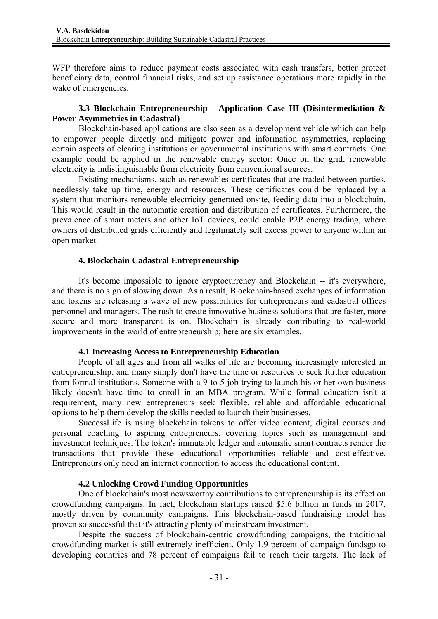WFP therefore aims to reduce payment costs associated with cash transfers, better protect beneficiary data, control financial risks, and set up assistance operations more rapidly in the wake of emergencies.

## **3.3 Blockchain Entrepreneurship - Application Case III (Disintermediation & Power Asymmetries in Cadastral)**

Blockchain-based applications are also seen as a development vehicle which can help to empower people directly and mitigate power and information asymmetries, replacing certain aspects of clearing institutions or governmental institutions with smart contracts. One example could be applied in the renewable energy sector: Once on the grid, renewable electricity is indistinguishable from electricity from conventional sources.

Existing mechanisms, such as renewables certificates that are traded between parties, needlessly take up time, energy and resources. These certificates could be replaced by a system that monitors renewable electricity generated onsite, feeding data into a blockchain. This would result in the automatic creation and distribution of certificates. Furthermore, the prevalence of smart meters and other IoT devices, could enable P2P energy trading, where owners of distributed grids efficiently and legitimately sell excess power to anyone within an open market.

## **4. Blockchain Cadastral Entrepreneurship**

It's become impossible to ignore cryptocurrency and Blockchain -- it's everywhere, and there is no sign of slowing down. As a result, Blockchain-based exchanges of information and tokens are releasing a wave of new possibilities for entrepreneurs and cadastral offices personnel and managers. The rush to create innovative business solutions that are faster, more secure and more transparent is on. Blockchain is already contributing to real-world improvements in the world of entrepreneurship; here are six examples.

## **4.1 Increasing Access to Entrepreneurship Education**

People of all ages and from all walks of life are becoming increasingly interested in entrepreneurship, and many simply don't have the time or resources to seek further education from formal institutions. Someone with a 9-to-5 job trying to launch his or her own business likely doesn't have time to enroll in an MBA program. While formal education isn't a requirement, many new entrepreneurs seek flexible, reliable and affordable educational options to help them develop the skills needed to launch their businesses.

SuccessLife is using blockchain tokens to offer video content, digital courses and personal coaching to aspiring entrepreneurs, covering topics such as management and investment techniques. The token's immutable ledger and automatic smart contracts render the transactions that provide these educational opportunities reliable and cost-effective. Entrepreneurs only need an internet connection to access the educational content.

## **4.2 Unlocking Crowd Funding Opportunities**

One of blockchain's most newsworthy contributions to entrepreneurship is its effect on crowdfunding campaigns. In fact, blockchain startups raised \$5.6 billion in funds in 2017, mostly driven by community campaigns. This blockchain-based fundraising model has proven so successful that it's attracting plenty of mainstream investment.

Despite the success of blockchain-centric crowdfunding campaigns, the traditional crowdfunding market is still extremely inefficient. Only 1.9 percent of campaign fundsgo to developing countries and 78 percent of campaigns fail to reach their targets. The lack of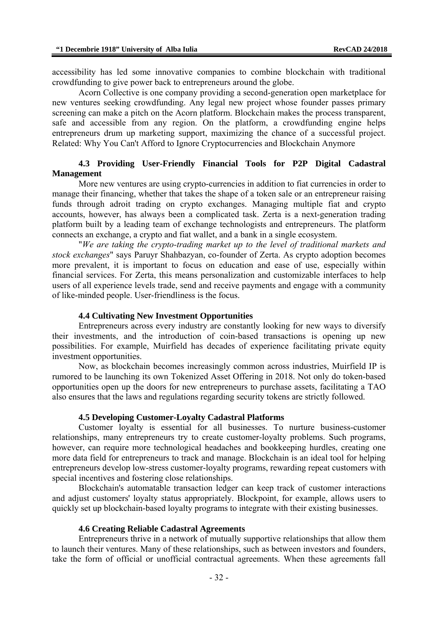accessibility has led some innovative companies to combine blockchain with traditional crowdfunding to give power back to entrepreneurs around the globe.

Acorn Collective is one company providing a second-generation open marketplace for new ventures seeking crowdfunding. Any legal new project whose founder passes primary screening can make a pitch on the Acorn platform. Blockchain makes the process transparent, safe and accessible from any region. On the platform, a crowdfunding engine helps entrepreneurs drum up marketing support, maximizing the chance of a successful project. Related: Why You Can't Afford to Ignore Cryptocurrencies and Blockchain Anymore

#### **4.3 Providing User-Friendly Financial Tools for P2P Digital Cadastral Management**

More new ventures are using crypto-currencies in addition to fiat currencies in order to manage their financing, whether that takes the shape of a token sale or an entrepreneur raising funds through adroit trading on crypto exchanges. Managing multiple fiat and crypto accounts, however, has always been a complicated task. Zerta is a next-generation trading platform built by a leading team of exchange technologists and entrepreneurs. The platform connects an exchange, a crypto and fiat wallet, and a bank in a single ecosystem.

"*We are taking the crypto-trading market up to the level of traditional markets and stock exchanges*" says Paruyr Shahbazyan, co-founder of Zerta. As crypto adoption becomes more prevalent, it is important to focus on education and ease of use, especially within financial services. For Zerta, this means personalization and customizable interfaces to help users of all experience levels trade, send and receive payments and engage with a community of like-minded people. User-friendliness is the focus.

#### **4.4 Cultivating New Investment Opportunities**

Entrepreneurs across every industry are constantly looking for new ways to diversify their investments, and the introduction of coin-based transactions is opening up new possibilities. For example, Muirfield has decades of experience facilitating private equity investment opportunities.

Now, as blockchain becomes increasingly common across industries, Muirfield IP is rumored to be launching its own Tokenized Asset Offering in 2018. Not only do token-based opportunities open up the doors for new entrepreneurs to purchase assets, facilitating a TAO also ensures that the laws and regulations regarding security tokens are strictly followed.

#### **4.5 Developing Customer-Loyalty Cadastral Platforms**

Customer loyalty is essential for all businesses. To nurture business-customer relationships, many entrepreneurs try to create customer-loyalty problems. Such programs, however, can require more technological headaches and bookkeeping hurdles, creating one more data field for entrepreneurs to track and manage. Blockchain is an ideal tool for helping entrepreneurs develop low-stress customer-loyalty programs, rewarding repeat customers with special incentives and fostering close relationships.

Blockchain's automatable transaction ledger can keep track of customer interactions and adjust customers' loyalty status appropriately. Blockpoint, for example, allows users to quickly set up blockchain-based loyalty programs to integrate with their existing businesses.

#### **4.6 Creating Reliable Cadastral Agreements**

Entrepreneurs thrive in a network of mutually supportive relationships that allow them to launch their ventures. Many of these relationships, such as between investors and founders, take the form of official or unofficial contractual agreements. When these agreements fall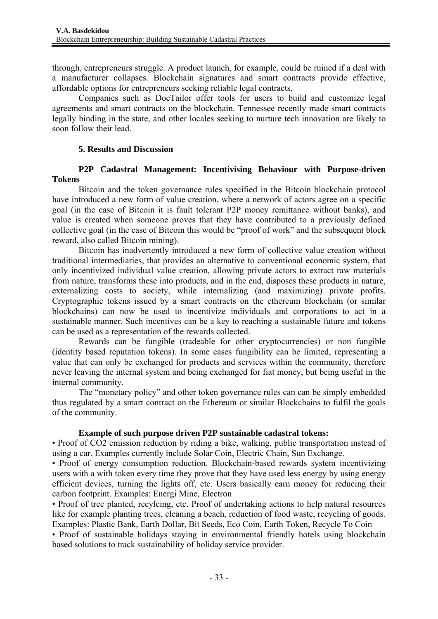through, entrepreneurs struggle. A product launch, for example, could be ruined if a deal with a manufacturer collapses. Blockchain signatures and smart contracts provide effective, affordable options for entrepreneurs seeking reliable legal contracts.

Companies such as DocTailor offer tools for users to build and customize legal agreements and smart contracts on the blockchain. Tennessee recently made smart contracts legally binding in the state, and other locales seeking to nurture tech innovation are likely to soon follow their lead.

### **5. Results and Discussion**

## **P2P Cadastral Management: Incentivising Behaviour with Purpose-driven Tokens**

Bitcoin and the token governance rules specified in the Bitcoin blockchain protocol have introduced a new form of value creation, where a network of actors agree on a specific goal (in the case of Bitcoin it is fault tolerant P2P money remittance without banks), and value is created when someone proves that they have contributed to a previously defined collective goal (in the case of Bitcoin this would be "proof of work" and the subsequent block reward, also called Bitcoin mining).

Bitcoin has inadvertently introduced a new form of collective value creation without traditional intermediaries, that provides an alternative to conventional economic system, that only incentivized individual value creation, allowing private actors to extract raw materials from nature, transforms these into products, and in the end, disposes these products in nature, externalizing costs to society, while internalizing (and maximizing) private profits. Cryptographic tokens issued by a smart contracts on the ethereum blockchain (or similar blockchains) can now be used to incentivize individuals and corporations to act in a sustainable manner. Such incentives can be a key to reaching a sustainable future and tokens can be used as a representation of the rewards collected.

Rewards can be fungible (tradeable for other cryptocurrencies) or non fungible (identity based reputation tokens). In some cases fungibility can be limited, representing a value that can only be exchanged for products and services within the community, therefore never leaving the internal system and being exchanged for fiat money, but being useful in the internal community.

The "monetary policy" and other token governance rules can can be simply embedded thus regulated by a smart contract on the Ethereum or similar Blockchains to fulfil the goals of the community.

#### **Example of such purpose driven P2P sustainable cadastral tokens:**

• Proof of CO2 emission reduction by riding a bike, walking, public transportation instead of using a car. Examples currently include Solar Coin, Electric Chain, Sun Exchange.

• Proof of energy consumption reduction. Blockchain-based rewards system incentivizing users with a with token every time they prove that they have used less energy by using energy efficient devices, turning the lights off, etc. Users basically earn money for reducing their carbon footprint. Examples: Energi Mine, Electron

• Proof of tree planted, recylcing, etc. Proof of undertaking actions to help natural resources like for example planting trees, cleaning a beach, reduction of food waste, recycling of goods. Examples: Plastic Bank, Earth Dollar, Bit Seeds, Eco Coin, Earth Token, Recycle To Coin

• Proof of sustainable holidays staying in environmental friendly hotels using blockchain based solutions to track sustainability of holiday service provider.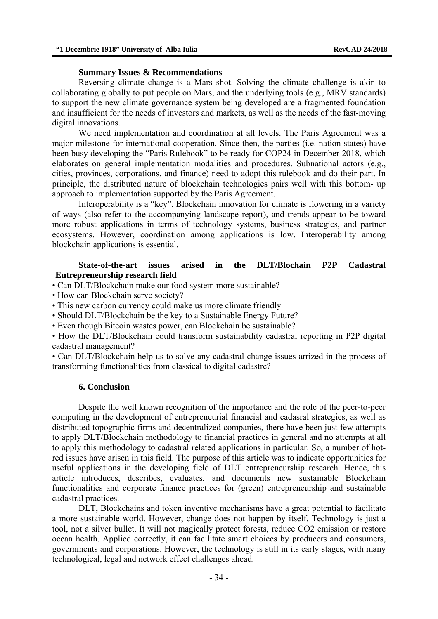#### **Summary Issues & Recommendations**

Reversing climate change is a Mars shot. Solving the climate challenge is akin to collaborating globally to put people on Mars, and the underlying tools (e.g., MRV standards) to support the new climate governance system being developed are a fragmented foundation and insufficient for the needs of investors and markets, as well as the needs of the fast-moving digital innovations.

We need implementation and coordination at all levels. The Paris Agreement was a major milestone for international cooperation. Since then, the parties (i.e. nation states) have been busy developing the "Paris Rulebook" to be ready for COP24 in December 2018, which elaborates on general implementation modalities and procedures. Subnational actors (e.g., cities, provinces, corporations, and finance) need to adopt this rulebook and do their part. In principle, the distributed nature of blockchain technologies pairs well with this bottom- up approach to implementation supported by the Paris Agreement.

Interoperability is a "key". Blockchain innovation for climate is flowering in a variety of ways (also refer to the accompanying landscape report), and trends appear to be toward more robust applications in terms of technology systems, business strategies, and partner ecosystems. However, coordination among applications is low. Interoperability among blockchain applications is essential.

#### **State-of-the-art issues arised in the DLT/Blochain P2P Cadastral Entrepreneurship research field**

- Can DLT/Blockchain make our food system more sustainable?
- How can Blockchain serve society?
- This new carbon currency could make us more climate friendly
- Should DLT/Blockchain be the key to a Sustainable Energy Future?
- Even though Bitcoin wastes power, can Blockchain be sustainable?

• How the DLT/Blockchain could transform sustainability cadastral reporting in P2P digital cadastral management?

• Can DLT/Blockchain help us to solve any cadastral change issues arrized in the process of transforming functionalities from classical to digital cadastre?

#### **6. Conclusion**

Despite the well known recognition of the importance and the role of the peer-to-peer computing in the development of entrepreneurial financial and cadasral strategies, as well as distributed topographic firms and decentralized companies, there have been just few attempts to apply DLT/Blockchain methodology to financial practices in general and no attempts at all to apply this methodology to cadastral related applications in particular. So, a number of hotred issues have arisen in this field. The purpose of this article was to indicate opportunities for useful applications in the developing field of DLT entrepreneurship research. Hence, this article introduces, describes, evaluates, and documents new sustainable Blockchain functionalities and corporate finance practices for (green) entrepreneurship and sustainable cadastral practices.

DLT, Blockchains and token inventive mechanisms have a great potential to facilitate a more sustainable world. However, change does not happen by itself. Technology is just a tool, not a silver bullet. It will not magically protect forests, reduce CO2 emission or restore ocean health. Applied correctly, it can facilitate smart choices by producers and consumers, governments and corporations. However, the technology is still in its early stages, with many technological, legal and network effect challenges ahead.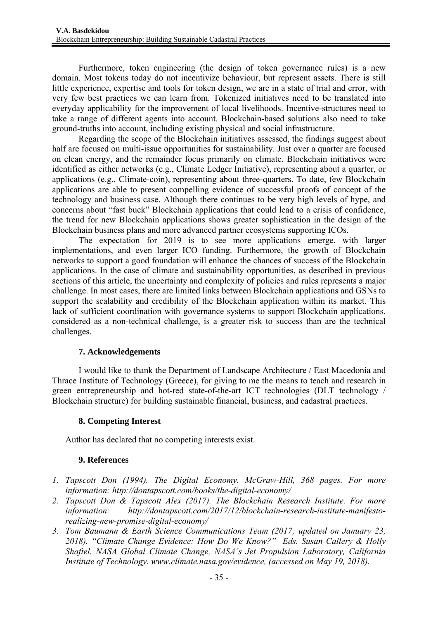Furthermore, token engineering (the design of token governance rules) is a new domain. Most tokens today do not incentivize behaviour, but represent assets. There is still little experience, expertise and tools for token design, we are in a state of trial and error, with very few best practices we can learn from. Tokenized initiatives need to be translated into everyday applicability for the improvement of local livelihoods. Incentive-structures need to take a range of different agents into account. Blockchain-based solutions also need to take ground-truths into account, including existing physical and social infrastructure.

Regarding the scope of the Blockchain initiatives assessed, the findings suggest about half are focused on multi-issue opportunities for sustainability. Just over a quarter are focused on clean energy, and the remainder focus primarily on climate. Blockchain initiatives were identified as either networks (e.g., Climate Ledger Initiative), representing about a quarter, or applications (e.g., Climate-coin), representing about three-quarters. To date, few Blockchain applications are able to present compelling evidence of successful proofs of concept of the technology and business case. Although there continues to be very high levels of hype, and concerns about "fast buck" Blockchain applications that could lead to a crisis of confidence, the trend for new Blockchain applications shows greater sophistication in the design of the Blockchain business plans and more advanced partner ecosystems supporting ICOs.

The expectation for 2019 is to see more applications emerge, with larger implementations, and even larger ICO funding. Furthermore, the growth of Blockchain networks to support a good foundation will enhance the chances of success of the Blockchain applications. In the case of climate and sustainability opportunities, as described in previous sections of this article, the uncertainty and complexity of policies and rules represents a major challenge. In most cases, there are limited links between Blockchain applications and GSNs to support the scalability and credibility of the Blockchain application within its market. This lack of sufficient coordination with governance systems to support Blockchain applications, considered as a non-technical challenge, is a greater risk to success than are the technical challenges.

## **7. Acknowledgements**

I would like to thank the Department of Landscape Architecture / East Macedonia and Thrace Institute of Technology (Greece), for giving to me the means to teach and research in green entrepreneurship and hot-red state-of-the-art ICT technologies (DLT technology / Blockchain structure) for building sustainable financial, business, and cadastral practices.

# **8. Competing Interest**

Author has declared that no competing interests exist.

## **9. References**

- *1. Tapscott Don (1994). The Digital Economy. McGraw-Hill, 368 pages. For more information: http://dontapscott.com/books/the-digital-economy/*
- *2. Tapscott Don & Tapscott Alex (2017). The Blockchain Research Institute. For more information: http://dontapscott.com/2017/12/blockchain-research-institute-manifestorealizing-new-promise-digital-economy/*
- *3. Tom Baumann & Earth Science Communications Team (2017; updated on January 23, 2018). "Climate Change Evidence: How Do We Know?" Eds. Susan Callery & Holly Shaftel. NASA Global Climate Change, NASA's Jet Propulsion Laboratory, California Institute of Technology. www.climate.nasa.gov/evidence, (accessed on May 19, 2018).*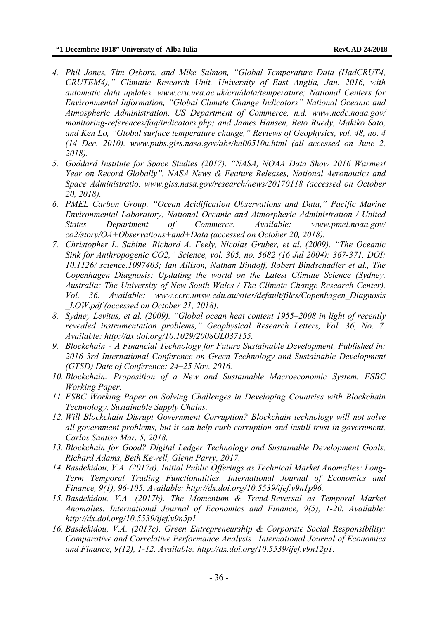- *4. Phil Jones, Tim Osborn, and Mike Salmon, "Global Temperature Data (HadCRUT4, CRUTEM4)," Climatic Research Unit, University of East Anglia, Jan. 2016, with automatic data updates. www.cru.uea.ac.uk/cru/data/temperature; National Centers for Environmental Information, "Global Climate Change Indicators" National Oceanic and Atmospheric Administration, US Department of Commerce, n.d. www.ncdc.noaa.gov/ monitoring-references/faq/indicators.php; and James Hansen, Reto Ruedy, Makiko Sato, and Ken Lo, "Global surface temperature change," Reviews of Geophysics, vol. 48, no. 4 (14 Dec. 2010). www.pubs.giss.nasa.gov/abs/ha00510u.html (all accessed on June 2, 2018).*
- *5. Goddard Institute for Space Studies (2017). "NASA, NOAA Data Show 2016 Warmest Year on Record Globally", NASA News & Feature Releases, National Aeronautics and Space Administratio. www.giss.nasa.gov/research/news/20170118 (accessed on October 20, 2018).*
- *6. PMEL Carbon Group, "Ocean Acidification Observations and Data," Pacific Marine Environmental Laboratory, National Oceanic and Atmospheric Administration / United States Department of Commerce. Available: www.pmel.noaa.gov/ co2/story/OA+Observations+and+Data (accessed on October 20, 2018).*
- *7. Christopher L. Sabine, Richard A. Feely, Nicolas Gruber, et al. (2009). "The Oceanic Sink for Anthropogenic CO2," Science, vol. 305, no. 5682 (16 Jul 2004): 367-371. DOI: 10.1126/ science.1097403; Ian Allison, Nathan Bindoff, Robert Bindschadler et al., The Copenhagen Diagnosis: Updating the world on the Latest Climate Science (Sydney, Australia: The University of New South Wales / The Climate Change Research Center), Vol. 36. Available: www.ccrc.unsw.edu.au/sites/default/files/Copenhagen\_Diagnosis \_LOW.pdf (accessed on October 21, 2018).*
- *8. Sydney Levitus, et al. (2009). "Global ocean heat content 1955–2008 in light of recently revealed instrumentation problems," Geophysical Research Letters, Vol. 36, No. 7. Available: http://dx.doi.org/10.1029/2008GL037155.*
- *9. Blockchain A Financial Technology for Future Sustainable Development, Published in: 2016 3rd International Conference on Green Technology and Sustainable Development (GTSD) Date of Conference: 24–25 Nov. 2016.*
- *10. Blockchain: Proposition of a New and Sustainable Macroeconomic System, FSBC Working Paper.*
- *11. FSBC Working Paper on Solving Challenges in Developing Countries with Blockchain Technology, Sustainable Supply Chains.*
- *12. Will Blockchain Disrupt Government Corruption? Blockchain technology will not solve all government problems, but it can help curb corruption and instill trust in government, Carlos Santiso Mar. 5, 2018.*
- *13. Blockchain for Good? Digital Ledger Technology and Sustainable Development Goals, Richard Adams, Beth Kewell, Glenn Parry, 2017.*
- *14. Basdekidou, V.A. (2017a). Initial Public Offerings as Technical Market Anomalies: Long-Term Temporal Trading Functionalities. International Journal of Economics and Finance, 9(1), 96-105. Available: http://dx.doi.org/10.5539/ijef.v9n1p96.*
- *15. Basdekidou, V.A. (2017b). The Momentum & Trend-Reversal as Temporal Market Anomalies. International Journal of Economics and Finance, 9(5), 1-20. Available: http://dx.doi.org/10.5539/ijef.v9n5p1.*
- *16. Basdekidou, V.A. (2017c). Green Entrepreneurship & Corporate Social Responsibility: Comparative and Correlative Performance Analysis. International Journal of Economics and Finance, 9(12), 1-12. Available: http://dx.doi.org/10.5539/ijef.v9n12p1.*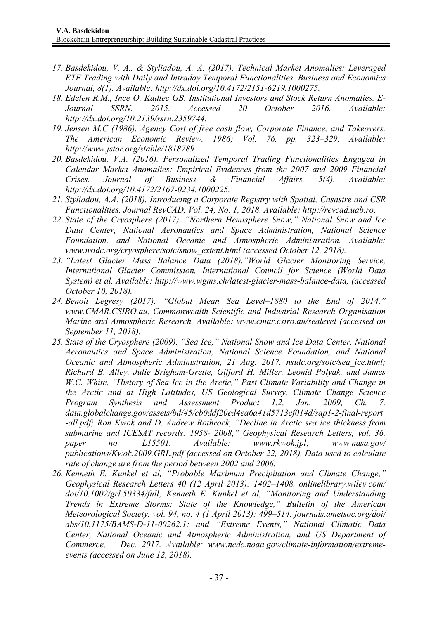- *17. Basdekidou, V. A., & Styliadou, A. A. (2017). Technical Market Anomalies: Leveraged ETF Trading with Daily and Intraday Temporal Functionalities. Business and Economics Journal, 8(1). Available: http://dx.doi.org/10.4172/2151-6219.1000275.*
- *18. Edelen R.M., Ince O, Kadlec GB. Institutional Investors and Stock Return Anomalies. E-Journal SSRN. 2015. Accessed 20 October 2016. Available: http://dx.doi.org/10.2139/ssrn.2359744.*
- *19. Jensen M.C (1986). Agency Cost of free cash flow, Corporate Finance, and Takeovers. The American Economic Review. 1986; Vol. 76, pp. 323–329. Available: http://www.jstor.org/stable/1818789.*
- *20. Basdekidou, V.A. (2016). Personalized Temporal Trading Functionalities Engaged in Calendar Market Anomalies: Empirical Evidences from the 2007 and 2009 Financial Crises. Journal of Business & Financial Affairs, 5(4). Available: http://dx.doi.org/10.4172/2167-0234.1000225.*
- *21. Styliadou, A.A. (2018). Introducing a Corporate Registry with Spatial, Casastre and CSR Functionalities. Journal RevCAD, Vol. 24, No. 1, 2018. Available: http://revcad.uab.ro.*
- *22. State of the Cryosphere (2017). "Northern Hemisphere Snow," National Snow and Ice Data Center, National Aeronautics and Space Administration, National Science Foundation, and National Oceanic and Atmospheric Administration. Available: www.nsidc.org/cryosphere/sotc/snow\_extent.html (accessed October 12, 2018).*
- *23. "Latest Glacier Mass Balance Data (2018)."World Glacier Monitoring Service, International Glacier Commission, International Council for Science (World Data System) et al. Available: http://www.wgms.ch/latest-glacier-mass-balance-data, (accessed October 10, 2018).*
- *24. Benoit Legresy (2017). "Global Mean Sea Level–1880 to the End of 2014," www.CMAR.CSIRO.au, Commonwealth Scientific and Industrial Research Organisation Marine and Atmospheric Research. Available: www.cmar.csiro.au/sealevel (accessed on September 11, 2018).*
- *25. State of the Cryosphere (2009). "Sea Ice," National Snow and Ice Data Center, National Aeronautics and Space Administration, National Science Foundation, and National Oceanic and Atmospheric Administration, 21 Aug. 2017. nsidc.org/sotc/sea\_ice.html; Richard B. Alley, Julie Brigham-Grette, Gifford H. Miller, Leonid Polyak, and James W.C. White, "History of Sea Ice in the Arctic," Past Climate Variability and Change in the Arctic and at High Latitudes, US Geological Survey, Climate Change Science Program Synthesis and Assessment Product 1.2, Jan. 2009, Ch. 7. data.globalchange.gov/assets/bd/45/cb0ddf20ed4ea6a41d5713cf014d/sap1-2-final-report -all.pdf; Ron Kwok and D. Andrew Rothrock, "Decline in Arctic sea ice thickness from submarine and ICESAT records: 1958- 2008," Geophysical Research Letters, vol. 36, paper no. L15501. Available: www.rkwok.jpl; www.nasa.gov/ publications/Kwok.2009.GRL.pdf (accessed on October 22, 2018). Data used to calculate rate of change are from the period between 2002 and 2006.*
- *26. Kenneth E. Kunkel et al, "Probable Maximum Precipitation and Climate Change," Geophysical Research Letters 40 (12 April 2013): 1402–1408. onlinelibrary.wiley.com/ doi/10.1002/grl.50334/full; Kenneth E. Kunkel et al, "Monitoring and Understanding Trends in Extreme Storms: State of the Knowledge," Bulletin of the American Meteorological Society, vol. 94, no. 4 (1 April 2013): 499–514. journals.ametsoc.org/doi/ abs/10.1175/BAMS-D-11-00262.1; and "Extreme Events," National Climatic Data Center, National Oceanic and Atmospheric Administration, and US Department of Commerce, Dec. 2017. Available: www.ncdc.noaa.gov/climate-information/extremeevents (accessed on June 12, 2018).*